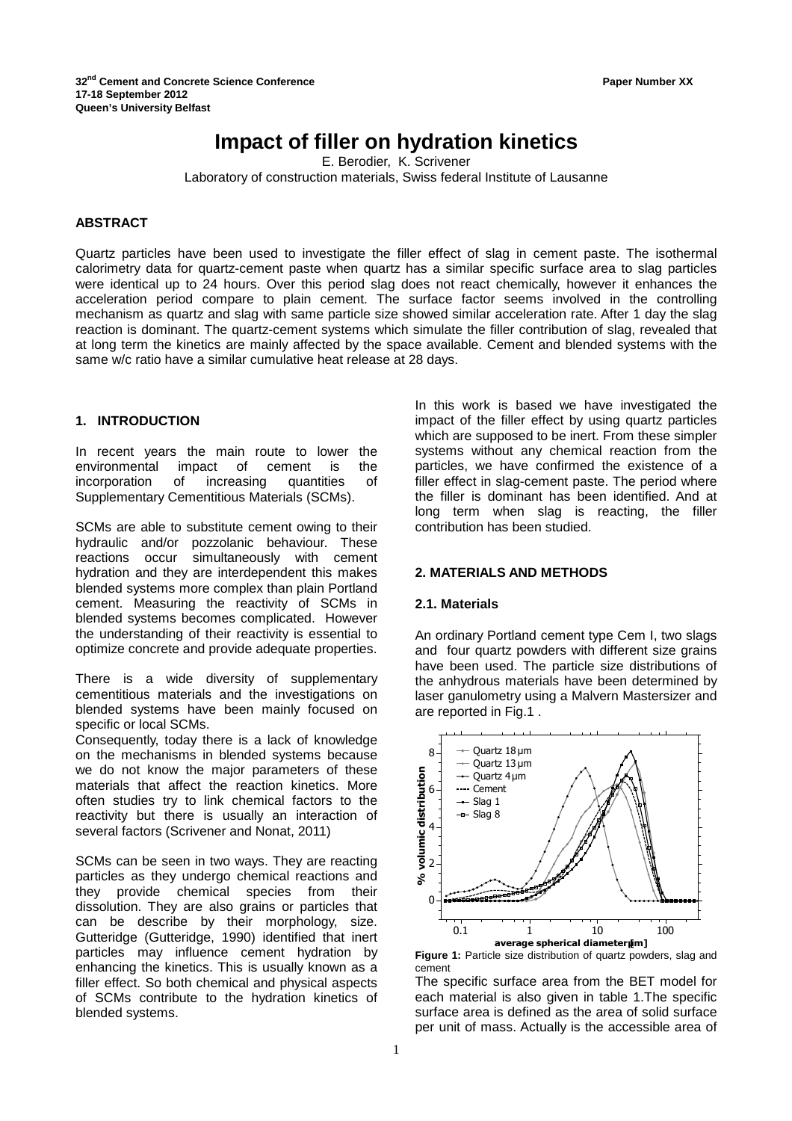# **Impact of filler on hydration kinetics**

E. Berodier, K. Scrivener

Laboratory of construction materials, Swiss federal Institute of Lausanne

## **ABSTRACT**

Quartz particles have been used to investigate the filler effect of slag in cement paste. The isothermal calorimetry data for quartz-cement paste when quartz has a similar specific surface area to slag particles were identical up to 24 hours. Over this period slag does not react chemically, however it enhances the acceleration period compare to plain cement. The surface factor seems involved in the controlling mechanism as quartz and slag with same particle size showed similar acceleration rate. After 1 day the slag reaction is dominant. The quartz-cement systems which simulate the filler contribution of slag, revealed that at long term the kinetics are mainly affected by the space available. Cement and blended systems with the same w/c ratio have a similar cumulative heat release at 28 days.

## **1. INTRODUCTION**

In recent years the main route to lower the environmental impact of cement is the incorporation of increasing quantities of Supplementary Cementitious Materials (SCMs).

SCMs are able to substitute cement owing to their hydraulic and/or pozzolanic behaviour. These reactions occur simultaneously with cement hydration and they are interdependent this makes blended systems more complex than plain Portland cement. Measuring the reactivity of SCMs in blended systems becomes complicated. However the understanding of their reactivity is essential to optimize concrete and provide adequate properties.

There is a wide diversity of supplementary cementitious materials and the investigations on blended systems have been mainly focused on specific or local SCMs.

Consequently, today there is a lack of knowledge on the mechanisms in blended systems because we do not know the major parameters of these materials that affect the reaction kinetics. More often studies try to link chemical factors to the reactivity but there is usually an interaction of several factors (Scrivener and Nonat, 2011)

SCMs can be seen in two ways. They are reacting particles as they undergo chemical reactions and they provide chemical species from their dissolution. They are also grains or particles that can be describe by their morphology, size. Gutteridge (Gutteridge, 1990) identified that inert particles may influence cement hydration by enhancing the kinetics. This is usually known as a filler effect. So both chemical and physical aspects of SCMs contribute to the hydration kinetics of blended systems.

In this work is based we have investigated the impact of the filler effect by using quartz particles which are supposed to be inert. From these simpler systems without any chemical reaction from the particles, we have confirmed the existence of a filler effect in slag-cement paste. The period where the filler is dominant has been identified. And at long term when slag is reacting, the filler contribution has been studied.

#### **2. MATERIALS AND METHODS**

#### **2.1. Materials**

An ordinary Portland cement type Cem I, two slags and four quartz powders with different size grains have been used. The particle size distributions of the anhydrous materials have been determined by laser ganulometry using a Malvern Mastersizer and are reported in Fig.1 .



**Figure 1:** Particle size distribution of quartz powders, slag and cement

The specific surface area from the BET model for each material is also given in table 1.The specific surface area is defined as the area of solid surface per unit of mass. Actually is the accessible area of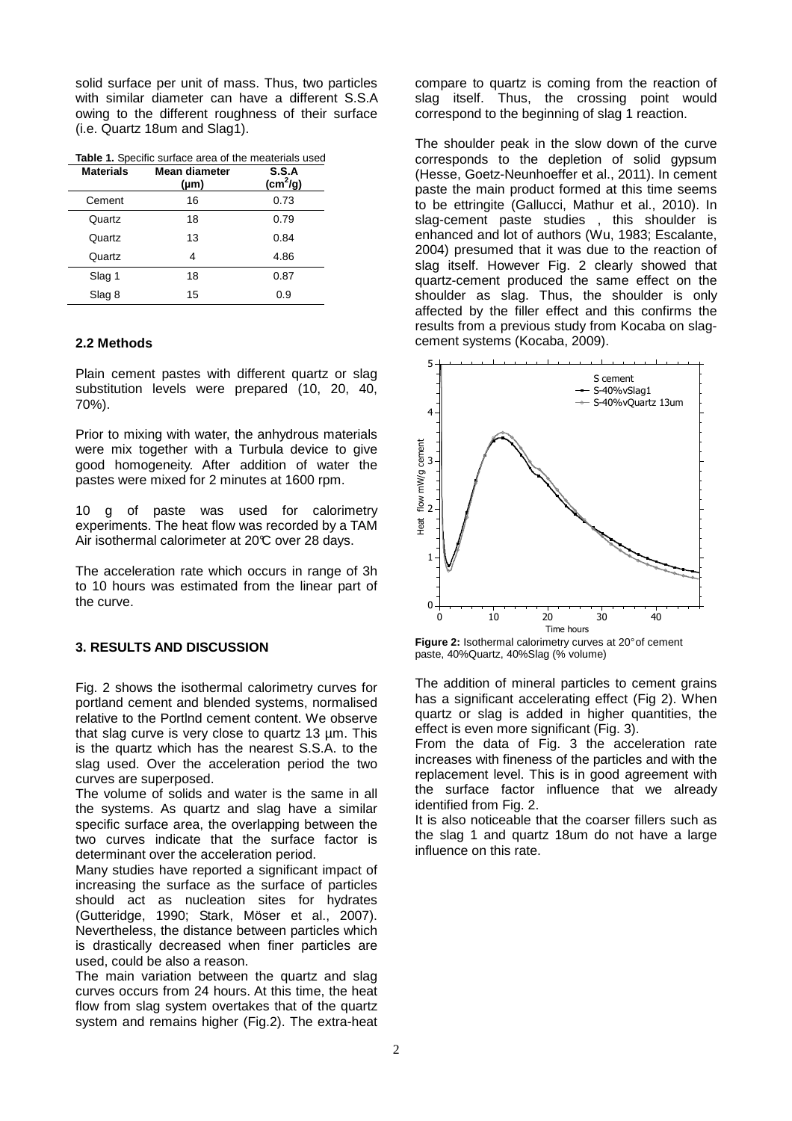solid surface per unit of mass. Thus, two particles with similar diameter can have a different S.S.A owing to the different roughness of their surface (i.e. Quartz 18um and Slag1).

**Table 1.** Specific surface area of the meaterials used

| <b>Materials</b> | Mean diameter<br>$(\mu m)$ | S.S.A<br>(cm <sup>2</sup> /g) |
|------------------|----------------------------|-------------------------------|
| Cement           | 16                         | 0.73                          |
| Quartz           | 18                         | 0.79                          |
| Quartz           | 13                         | 0.84                          |
| Quartz           | 4                          | 4.86                          |
| Slag 1           | 18                         | 0.87                          |
| Slag 8           | 15                         | 0.9                           |

### **2.2 Methods**

Plain cement pastes with different quartz or slag substitution levels were prepared (10, 20, 40, 70%).

Prior to mixing with water, the anhydrous materials were mix together with a Turbula device to give good homogeneity. After addition of water the pastes were mixed for 2 minutes at 1600 rpm.

10 g of paste was used for calorimetry experiments. The heat flow was recorded by a TAM Air isothermal calorimeter at 20°C over 28 days.

The acceleration rate which occurs in range of 3h to 10 hours was estimated from the linear part of the curve.

# **3. RESULTS AND DISCUSSION**

Fig. 2 shows the isothermal calorimetry curves for portland cement and blended systems, normalised relative to the Portlnd cement content. We observe that slag curve is very close to quartz 13 µm. This is the quartz which has the nearest S.S.A. to the slag used. Over the acceleration period the two curves are superposed.

The volume of solids and water is the same in all the systems. As quartz and slag have a similar specific surface area, the overlapping between the two curves indicate that the surface factor is determinant over the acceleration period.

Many studies have reported a significant impact of increasing the surface as the surface of particles should act as nucleation sites for hydrates (Gutteridge, 1990; Stark, Möser et al., 2007). Nevertheless, the distance between particles which is drastically decreased when finer particles are used, could be also a reason.

The main variation between the quartz and slag curves occurs from 24 hours. At this time, the heat flow from slag system overtakes that of the quartz system and remains higher (Fig.2). The extra-heat

compare to quartz is coming from the reaction of slag itself. Thus, the crossing point would correspond to the beginning of slag 1 reaction.

The shoulder peak in the slow down of the curve corresponds to the depletion of solid gypsum (Hesse, Goetz-Neunhoeffer et al., 2011). In cement paste the main product formed at this time seems to be ettringite (Gallucci, Mathur et al., 2010). In slag-cement paste studies , this shoulder is enhanced and lot of authors (Wu, 1983; Escalante, 2004) presumed that it was due to the reaction of slag itself. However Fig. 2 clearly showed that quartz-cement produced the same effect on the shoulder as slag. Thus, the shoulder is only affected by the filler effect and this confirms the results from a previous study from Kocaba on slagcement systems (Kocaba, 2009).



**Figure 2:** Isothermal calorimetry curves at 20° of cement paste, 40%Quartz, 40%Slag (% volume)

The addition of mineral particles to cement grains has a significant accelerating effect (Fig 2). When quartz or slag is added in higher quantities, the effect is even more significant (Fig. 3).

From the data of Fig. 3 the acceleration rate increases with fineness of the particles and with the replacement level. This is in good agreement with the surface factor influence that we already identified from Fig. 2.

It is also noticeable that the coarser fillers such as the slag 1 and quartz 18um do not have a large influence on this rate.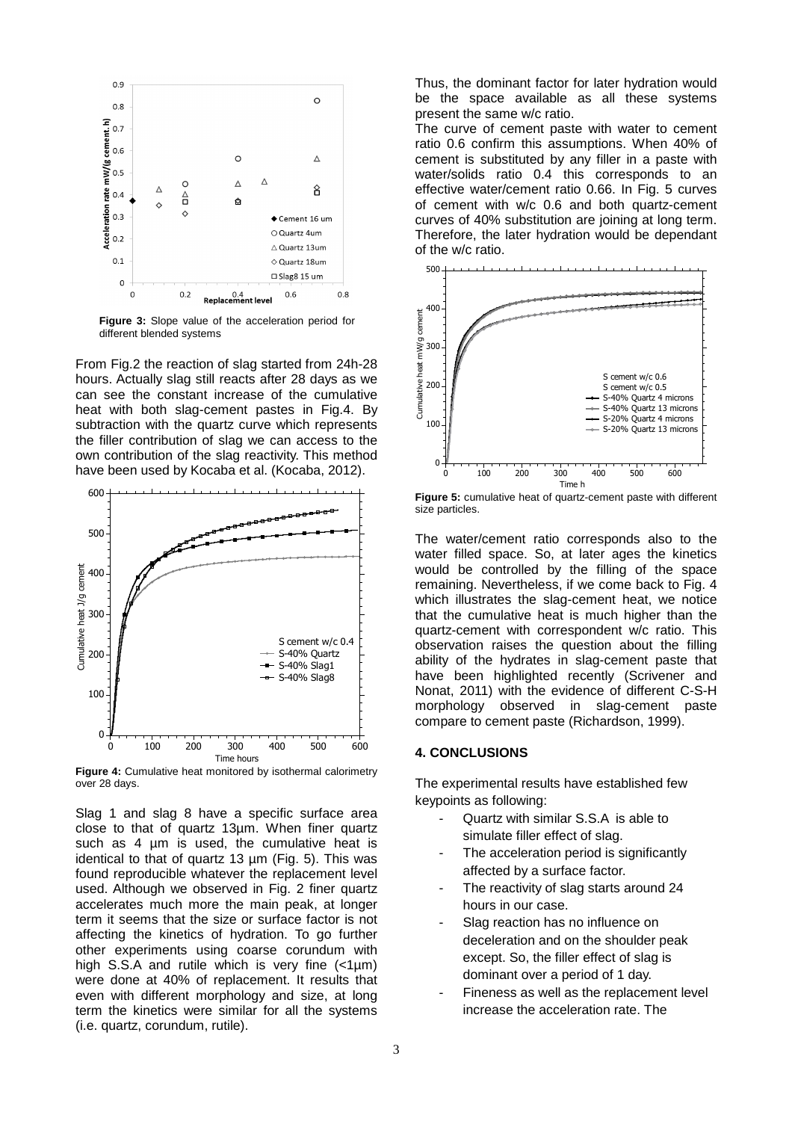

**Figure 3:** Slope value of the acceleration period for different blended systems

From Fig.2 the reaction of slag started from 24h-28 hours. Actually slag still reacts after 28 days as we can see the constant increase of the cumulative heat with both slag-cement pastes in Fig.4. By subtraction with the quartz curve which represents the filler contribution of slag we can access to the own contribution of the slag reactivity. This method have been used by Kocaba et al. (Kocaba, 2012).



**Figure 4:** Cumulative heat monitored by isothermal calorimetry over 28 days.

Slag 1 and slag 8 have a specific surface area close to that of quartz 13µm. When finer quartz such as 4 um is used, the cumulative heat is identical to that of quartz 13 µm (Fig. 5). This was found reproducible whatever the replacement level used. Although we observed in Fig. 2 finer quartz accelerates much more the main peak, at longer term it seems that the size or surface factor is not affecting the kinetics of hydration. To go further other experiments using coarse corundum with high S.S.A and rutile which is very fine  $\left\langle \text{1µm}\right\rangle$ were done at 40% of replacement. It results that even with different morphology and size, at long term the kinetics were similar for all the systems (i.e. quartz, corundum, rutile).

Thus, the dominant factor for later hydration would be the space available as all these systems present the same w/c ratio.

The curve of cement paste with water to cement ratio 0.6 confirm this assumptions. When 40% of cement is substituted by any filler in a paste with water/solids ratio 0.4 this corresponds to an effective water/cement ratio 0.66. In Fig. 5 curves of cement with w/c 0.6 and both quartz-cement curves of 40% substitution are joining at long term. Therefore, the later hydration would be dependant of the w/c ratio.



**Figure 5:** cumulative heat of quartz-cement paste with different size particles.

The water/cement ratio corresponds also to the water filled space. So, at later ages the kinetics would be controlled by the filling of the space remaining. Nevertheless, if we come back to Fig. 4 which illustrates the slag-cement heat, we notice that the cumulative heat is much higher than the quartz-cement with correspondent w/c ratio. This observation raises the question about the filling ability of the hydrates in slag-cement paste that have been highlighted recently (Scrivener and Nonat, 2011) with the evidence of different C-S-H morphology observed in slag-cement paste compare to cement paste (Richardson, 1999).

## **4. CONCLUSIONS**

The experimental results have established few keypoints as following:

- Quartz with similar S.S.A is able to simulate filler effect of slag.
- The acceleration period is significantly affected by a surface factor.
- The reactivity of slag starts around 24 hours in our case.
- Slag reaction has no influence on deceleration and on the shoulder peak except. So, the filler effect of slag is dominant over a period of 1 day.
- Fineness as well as the replacement level increase the acceleration rate. The